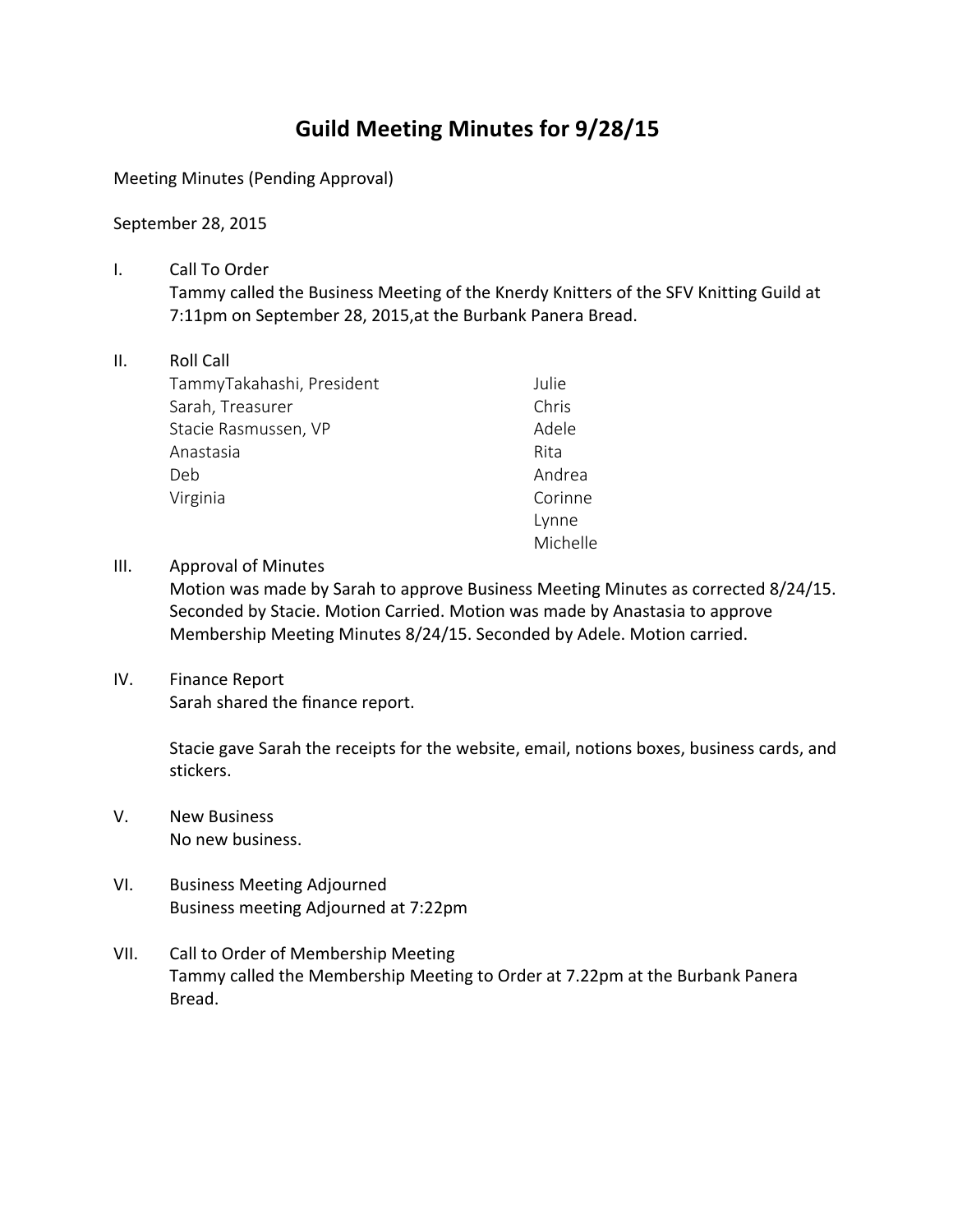## **Guild Meeting Minutes for 9/28/15**

Meeting Minutes (Pending Approval)

September 28, 2015

- I. Call To Order Tammy called the Business Meeting of the Knerdy Knitters of the SFV Knitting Guild at 7:11pm on September 28, 2015, at the Burbank Panera Bread.
- II. Roll Call TammyTakahashi, President Sarah, Treasurer Stacie Rasmussen, VP Anastasia Deb Virginia Julie Chris Adele Rita Andrea Corinne Lynne Michelle
- III. Approval of Minutes Motion was made by Sarah to approve Business Meeting Minutes as corrected 8/24/15. Seconded by Stacie. Motion Carried. Motion was made by Anastasia to approve Membership Meeting Minutes 8/24/15. Seconded by Adele. Motion carried.
- IV. Finance Report Sarah shared the finance report.

Stacie gave Sarah the receipts for the website, email, notions boxes, business cards, and stickers.

- V. New Business No new business.
- VI. Business Meeting Adjourned Business meeting Adjourned at 7:22pm
- VII. Call to Order of Membership Meeting Tammy called the Membership Meeting to Order at 7.22pm at the Burbank Panera Bread.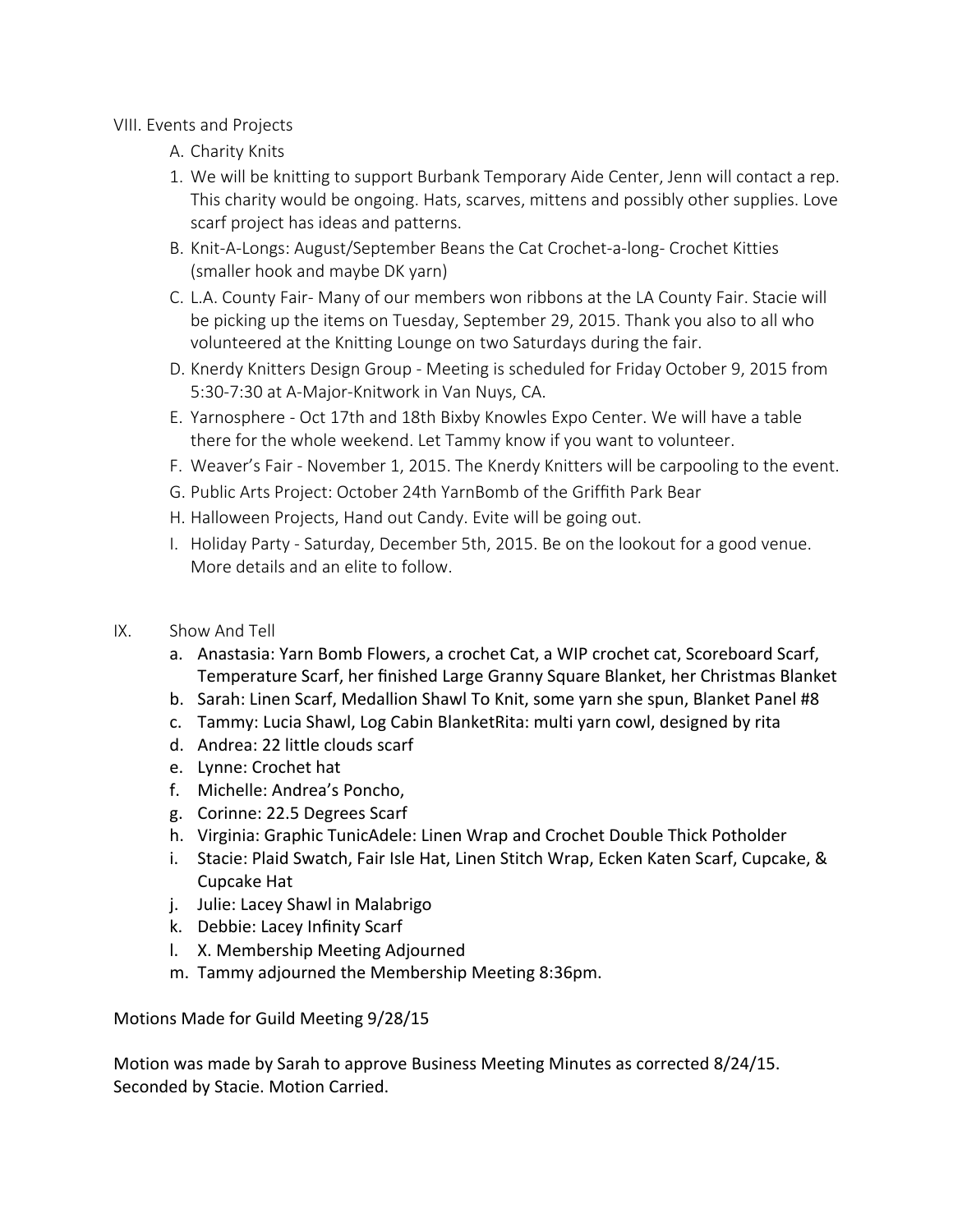## VIII. Events and Projects

- A. Charity Knits
- 1. We will be knitting to support Burbank Temporary Aide Center, Jenn will contact a rep. This charity would be ongoing. Hats, scarves, mittens and possibly other supplies. Love scarf project has ideas and patterns.
- B. Knit-A-Longs: August/September Beans the Cat Crochet-a-long- Crochet Kitties (smaller hook and maybe DK yarn)
- C. L.A. County Fair- Many of our members won ribbons at the LA County Fair. Stacie will be picking up the items on Tuesday, September 29, 2015. Thank you also to all who volunteered at the Knitting Lounge on two Saturdays during the fair.
- D. Knerdy Knitters Design Group Meeting is scheduled for Friday October 9, 2015 from 5:30-7:30 at A-Major-Knitwork in Van Nuys, CA.
- E. Yarnosphere Oct 17th and 18th Bixby Knowles Expo Center. We will have a table there for the whole weekend. Let Tammy know if you want to volunteer.
- F. Weaver's Fair November 1, 2015. The Knerdy Knitters will be carpooling to the event.
- G. Public Arts Project: October 24th YarnBomb of the Griffith Park Bear
- H. Halloween Projects, Hand out Candy. Evite will be going out.
- I. Holiday Party Saturday, December 5th, 2015. Be on the lookout for a good venue. More details and an elite to follow.
- IX. Show And Tell
	- a. Anastasia: Yarn Bomb Flowers, a crochet Cat, a WIP crochet cat, Scoreboard Scarf, Temperature Scarf, her finished Large Granny Square Blanket, her Christmas Blanket
	- b. Sarah: Linen Scarf, Medallion Shawl To Knit, some yarn she spun, Blanket Panel #8
	- c. Tammy: Lucia Shawl, Log Cabin BlanketRita: multi yarn cowl, designed by rita
	- d. Andrea: 22 little clouds scarf
	- e. Lynne: Crochet hat
	- f. Michelle: Andrea's Poncho,
	- g. Corinne: 22.5 Degrees Scarf
	- h. Virginia: Graphic TunicAdele: Linen Wrap and Crochet Double Thick Potholder
	- i. Stacie: Plaid Swatch, Fair Isle Hat, Linen Stitch Wrap, Ecken Katen Scarf, Cupcake, & Cupcake Hat
	- j. Julie: Lacey Shawl in Malabrigo
	- k. Debbie: Lacey Infinity Scarf
	- l. X. Membership Meeting Adjourned
	- m. Tammy adjourned the Membership Meeting 8:36pm.

Motions Made for Guild Meeting 9/28/15

Motion was made by Sarah to approve Business Meeting Minutes as corrected 8/24/15. Seconded by Stacie. Motion Carried.